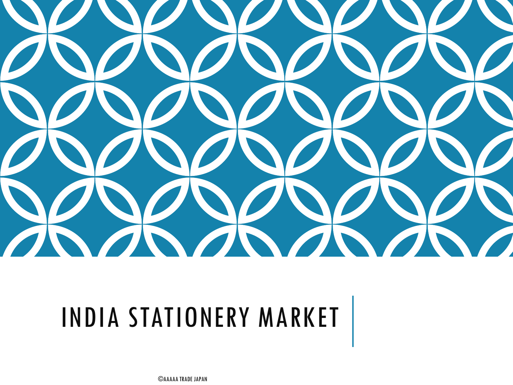

## INDIA STATIONERY MARKET

©AAAAA TRADE JAPAN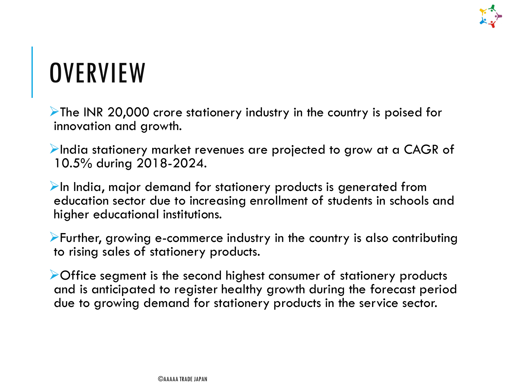

### **OVERVIEW**

The INR 20,000 crore stationery industry in the country is poised for innovation and growth.

 $\blacktriangleright$ India stationery market revenues are projected to grow at a CAGR of 10.5% during 2018-2024.

 $\triangleright$ In India, major demand for stationery products is generated from education sector due to increasing enrollment of students in schools and higher educational institutions.

Further, growing e-commerce industry in the country is also contributing to rising sales of stationery products.

Office segment is the second highest consumer of stationery products and is anticipated to register healthy growth during the forecast period due to growing demand for stationery products in the service sector.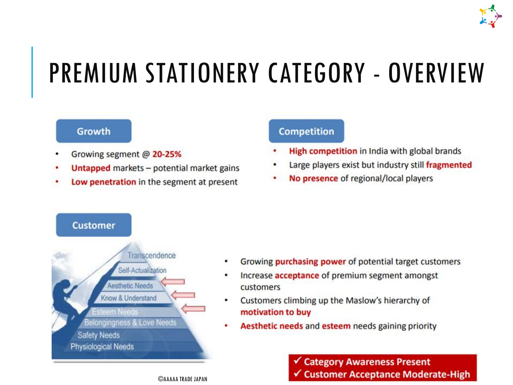

### **PREMIUM STATIONERY CATEGORY - OVERVIEW**

#### **Growth**

- Growing segment @ 20-25%
- Untapped markets potential market gains
- Low penetration in the segment at present

#### **Competition**

- High competition in India with global brands
- Large players exist but industry still fragmented
- No presence of regional/local players



- Growing **purchasing power** of potential target customers
- Increase **acceptance** of premium segment amongst customers
- Customers climbing up the Maslow's hierarchy of motivation to buy
- Aesthetic needs and esteem needs gaining priority

**Category Awareness Present** ✔ Customer Acceptance Moderate-High

**CAAAAA TRADE IAPAN**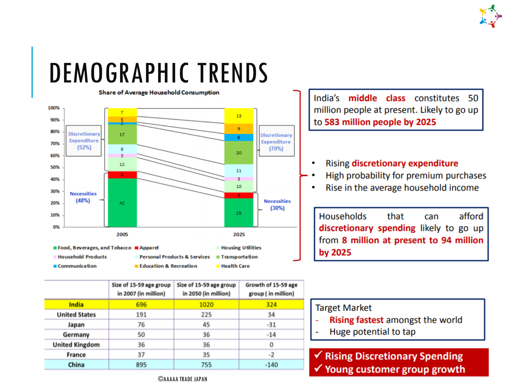

### **DEMOGRAPHIC TRENDS**



|                       | Size of 15-59 age group<br>in 2007 (in million) | Size of 15-59 age group<br>in 2050 (in million) | Growth of 15-59 age<br>group (in million) |
|-----------------------|-------------------------------------------------|-------------------------------------------------|-------------------------------------------|
| <b>India</b>          | 696                                             | 1020                                            | 324                                       |
| <b>United States</b>  | 191                                             | 225                                             | 34                                        |
| Japan                 | 76                                              | 45                                              | $-31$                                     |
| Germany               | 50                                              | 36                                              | $-14$                                     |
| <b>United Kingdom</b> | 36                                              | 36                                              | 0                                         |
| <b>France</b>         | 37                                              | 35                                              | -2                                        |
| China                 | 895                                             | 755                                             | $-140$                                    |

India's middle class constitutes 50 million people at present. Likely to go up to 583 million people by 2025

#### Rising discretionary expenditure  $\bullet$

- High probability for premium purchases
- Rise in the average household income ۰

**Households** that afford can discretionary spending likely to go up from 8 million at present to 94 million by 2025

#### **Target Market**

- Rising fastest amongst the world
- Huge potential to tap

✔ Rising Discretionary Spending  $\checkmark$  Young customer group growth

**CAAAAA TRADE IAPAN**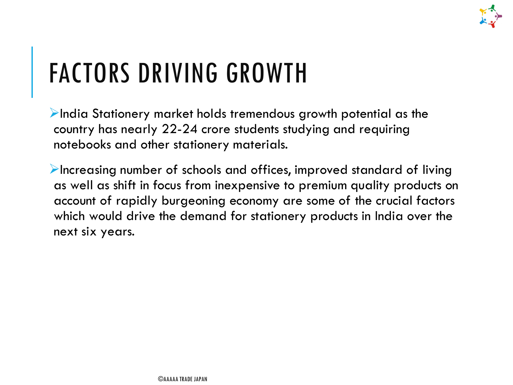

### FACTORS DRIVING GROWTH

 $\blacktriangleright$ India Stationery market holds tremendous growth potential as the country has nearly 22-24 crore students studying and requiring notebooks and other stationery materials.

 $\blacktriangleright$  Increasing number of schools and offices, improved standard of living as well as shift in focus from inexpensive to premium quality products on account of rapidly burgeoning economy are some of the crucial factors which would drive the demand for stationery products in India over the next six years.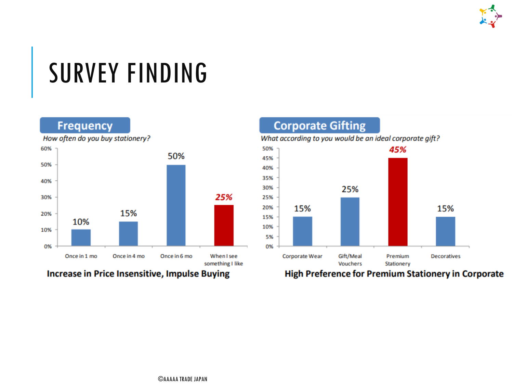

### SURVEY FINDING

#### **Frequency**



How often do you buy stationery?

#### Increase in Price Insensitive, Impulse Buying



High Preference for Premium Stationery in Corporate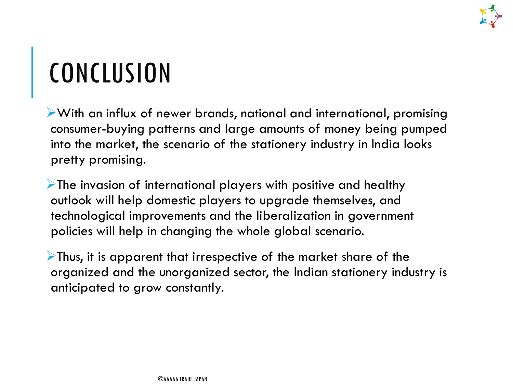

### **CONCLUSION**

With an influx of newer brands, national and international, promising consumer-buying patterns and large amounts of money being pumped into the market, the scenario of the stationery industry in India looks pretty promising.

The invasion of international players with positive and healthy outlook will help domestic players to upgrade themselves, and technological improvements and the liberalization in government policies will help in changing the whole global scenario.

Thus, it is apparent that irrespective of the market share of the organized and the unorganized sector, the Indian stationery industry is anticipated to grow constantly.